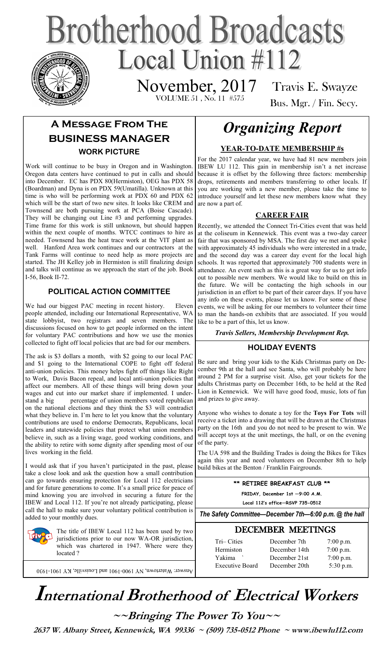# **Brotherhood Broadcasts** Local Union  $\#112$

 VOLUME 51 , No. 11 #575 November, 2017

Travis E. Swayze Bus. Mgr. / Fin. Secy.

# **A Message From The BUSINESS MANAGER WORK PICTURE**

Work will continue to be busy in Oregon and in Washington. Oregon data centers have continued to put in calls and should into December. EC has PDX 80(Hermiston), OEG has PDX 58 (Boardman) and Dyna is on PDX 59(Umatilla). Unknown at this time is who will be performing work at PDX 60 and PDX 62 which will be the start of two new sites. It looks like CREM and Townsend are both pursuing work at PCA (Boise Cascade). They will be changing out Line #3 and performing upgrades. Time frame for this work is still unknown, but should happen within the next couple of months. WTCC continues to hire as needed. Townsend has the heat trace work at the VIT plant as well. Hanford Area work continues and our contractors at the Tank Farms will continue to need help as more projects are started. The JH Kelley job in Hermiston is still finalizing design and talks will continue as we approach the start of the job. Book I-56, Book II-72.

#### **POLITICAL ACTION COMMITTEE**

We had our biggest PAC meeting in recent history. Eleven people attended, including our International Representative, WA state lobbyist, two registrars and seven members. The discussions focused on how to get people informed on the intent for voluntary PAC contributions and how we use the monies collected to fight off local policies that are bad for our members.

The ask is \$3 dollars a month, with \$2 going to our local PAC and \$1 going to the International COPE to fight off federal anti-union policies. This money helps fight off things like Right to Work, Davis Bacon repeal, and local anti-union policies that affect our members. All of these things will bring down your wages and cut into our market share if implemented. I understand a big percentage of union members voted republican on the national elections and they think the \$3 will contradict what they believe in. I'm here to let you know that the voluntary contributions are used to endorse Democrats, Republicans, local leaders and statewide policies that protect what union members believe in, such as a living wage, good working conditions, and the ability to retire with some dignity after spending most of our lives working in the field.

I would ask that if you haven't participated in the past, please take a close look and ask the question how a small contribution can go towards ensuring protection for Local 112 electricians and for future generations to come. It's a small price for peace of mind knowing you are involved in securing a future for the IBEW and Local 112. If you're not already participating, please call the hall to make sure your voluntary political contribution is added to your monthly dues.

> The title of IBEW Local 112 has been used by two jurisdictions prior to our now WA-OR jurisdiction, which was chartered in 1947. Where were they located ?

Answer: Watertown, NY 1900-1901 and Louisville, KY 1901-1930

# *Organizing Report*

#### **YEAR-TO-DATE MEMBERSHIP #s**

For the 2017 calendar year, we have had 81 new members join IBEW LU 112. This gain in membership isn't a net increase because it is offset by the following three factors: membership drops, retirements and members transferring to other locals. If you are working with a new member, please take the time to introduce yourself and let these new members know what they are now a part of.

#### **CAREER FAIR**

Recently, we attended the Connect Tri-Cities event that was held at the coliseum in Kennewick. This event was a two-day career fair that was sponsored by MSA. The first day we met and spoke with approximately 45 individuals who were interested in a trade, and the second day was a career day event for the local high schools. It was reported that approximately 700 students were in attendance. An event such as this is a great way for us to get info out to possible new members. We would like to build on this in the future. We will be contacting the high schools in our jurisdiction in an effort to be part of their career days. If you have any info on these events, please let us know. For some of these events, we will be asking for our members to volunteer their time to man the hands-on exhibits that are associated. If you would like to be a part of this, let us know.

*Travis Sellers, Membership Development Rep.* 

#### **HOLIDAY EVENTS**

Be sure and bring your kids to the Kids Christmas party on December 9th at the hall and see Santa, who will probably be here around 2 PM for a surprise visit. Also, get your tickets for the adults Christmas party on December 16th, to be held at the Red Lion in Kennewick. We will have good food, music, lots of fun and prizes to give away.

Anyone who wishes to donate a toy for the **Toys For Tots** will receive a ticket into a drawing that will be drawn at the Christmas party on the 16th and you do not need to be present to win. We will accept toys at the unit meetings, the hall, or on the evening of the party.

The UA 598 and the Building Trades is doing the Bikes for Tikes again this year and need volunteers on December 8th to help build bikes at the Benton / Franklin Fairgrounds.

> **\*\* RETIREE BREAKFAST CLUB \*\* FRIDAY, December 1st —9:00 A.M.**

**Local 112's office—RSVP 735-0512**

*The Safety Committee—December 7th—6:00 p.m. @ the hall*

### DECEMBER MEETINGS

| Tri-Cities             | December 7th  | $7:00$ p.m. |
|------------------------|---------------|-------------|
| Hermiston              | December 14th | $7:00$ p.m. |
| Yakima                 | December 21st | $7:00$ p.m. |
| <b>Executive Board</b> | December 20th | $5:30$ p.m. |
|                        |               |             |

# **International Brotherhood of <sup>E</sup>lectrical Workers**

**~~Bringing The Power To You~~** 

 **2637 W. Albany Street, Kennewick, WA 99336 ~ (509) 735-0512 Phone ~ www.ibewlu112.com**